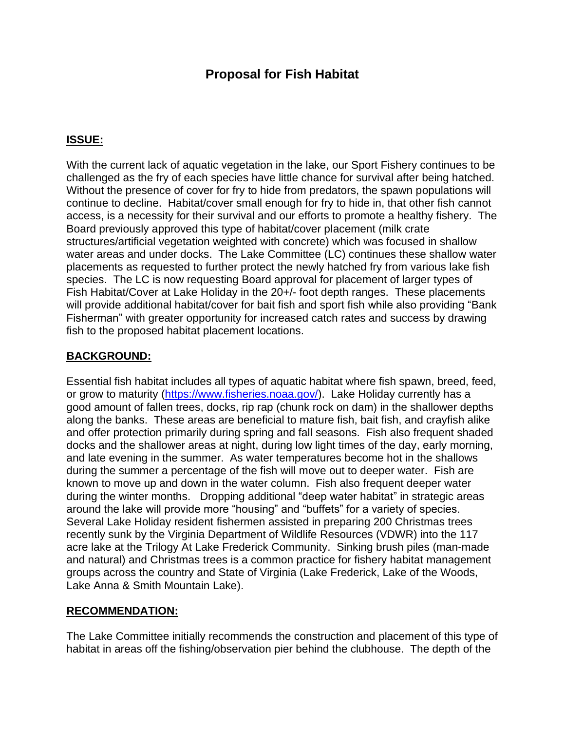## **Proposal for Fish Habitat**

## **ISSUE:**

With the current lack of aquatic vegetation in the lake, our Sport Fishery continues to be challenged as the fry of each species have little chance for survival after being hatched. Without the presence of cover for fry to hide from predators, the spawn populations will continue to decline. Habitat/cover small enough for fry to hide in, that other fish cannot access, is a necessity for their survival and our efforts to promote a healthy fishery. The Board previously approved this type of habitat/cover placement (milk crate structures/artificial vegetation weighted with concrete) which was focused in shallow water areas and under docks. The Lake Committee (LC) continues these shallow water placements as requested to further protect the newly hatched fry from various lake fish species. The LC is now requesting Board approval for placement of larger types of Fish Habitat/Cover at Lake Holiday in the 20+/- foot depth ranges. These placements will provide additional habitat/cover for bait fish and sport fish while also providing "Bank Fisherman" with greater opportunity for increased catch rates and success by drawing fish to the proposed habitat placement locations.

## **BACKGROUND:**

Essential fish habitat includes all types of aquatic habitat where fish spawn, breed, feed, or grow to maturity [\(https://www.fisheries.noaa.gov/\)](https://www.fisheries.noaa.gov/). Lake Holiday currently has a good amount of fallen trees, docks, rip rap (chunk rock on dam) in the shallower depths along the banks. These areas are beneficial to mature fish, bait fish, and crayfish alike and offer protection primarily during spring and fall seasons. Fish also frequent shaded docks and the shallower areas at night, during low light times of the day, early morning, and late evening in the summer. As water temperatures become hot in the shallows during the summer a percentage of the fish will move out to deeper water. Fish are known to move up and down in the water column. Fish also frequent deeper water during the winter months. Dropping additional "deep water habitat" in strategic areas around the lake will provide more "housing" and "buffets" for a variety of species. Several Lake Holiday resident fishermen assisted in preparing 200 Christmas trees recently sunk by the Virginia Department of Wildlife Resources (VDWR) into the 117 acre lake at the Trilogy At Lake Frederick Community. Sinking brush piles (man-made and natural) and Christmas trees is a common practice for fishery habitat management groups across the country and State of Virginia (Lake Frederick, Lake of the Woods, Lake Anna & Smith Mountain Lake).

## **RECOMMENDATION:**

The Lake Committee initially recommends the construction and placement of this type of habitat in areas off the fishing/observation pier behind the clubhouse. The depth of the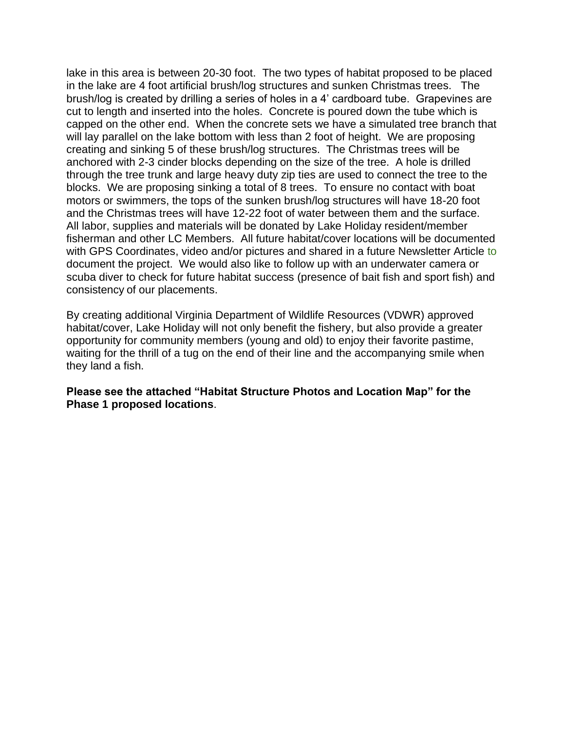lake in this area is between 20-30 foot. The two types of habitat proposed to be placed in the lake are 4 foot artificial brush/log structures and sunken Christmas trees. The brush/log is created by drilling a series of holes in a 4' cardboard tube. Grapevines are cut to length and inserted into the holes. Concrete is poured down the tube which is capped on the other end. When the concrete sets we have a simulated tree branch that will lay parallel on the lake bottom with less than 2 foot of height. We are proposing creating and sinking 5 of these brush/log structures. The Christmas trees will be anchored with 2-3 cinder blocks depending on the size of the tree. A hole is drilled through the tree trunk and large heavy duty zip ties are used to connect the tree to the blocks. We are proposing sinking a total of 8 trees. To ensure no contact with boat motors or swimmers, the tops of the sunken brush/log structures will have 18-20 foot and the Christmas trees will have 12-22 foot of water between them and the surface. All labor, supplies and materials will be donated by Lake Holiday resident/member fisherman and other LC Members. All future habitat/cover locations will be documented with GPS Coordinates, video and/or pictures and shared in a future Newsletter Article to document the project. We would also like to follow up with an underwater camera or scuba diver to check for future habitat success (presence of bait fish and sport fish) and consistency of our placements.

By creating additional Virginia Department of Wildlife Resources (VDWR) approved habitat/cover, Lake Holiday will not only benefit the fishery, but also provide a greater opportunity for community members (young and old) to enjoy their favorite pastime, waiting for the thrill of a tug on the end of their line and the accompanying smile when they land a fish.

**Please see the attached "Habitat Structure Photos and Location Map" for the Phase 1 proposed locations**.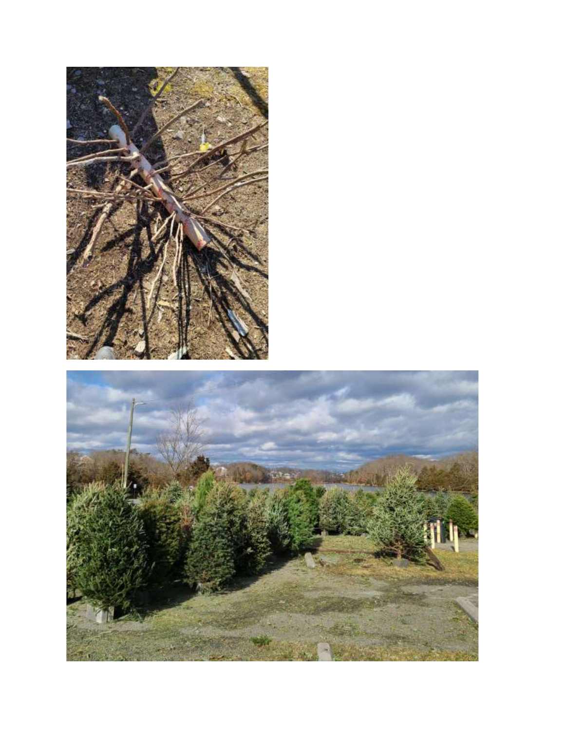